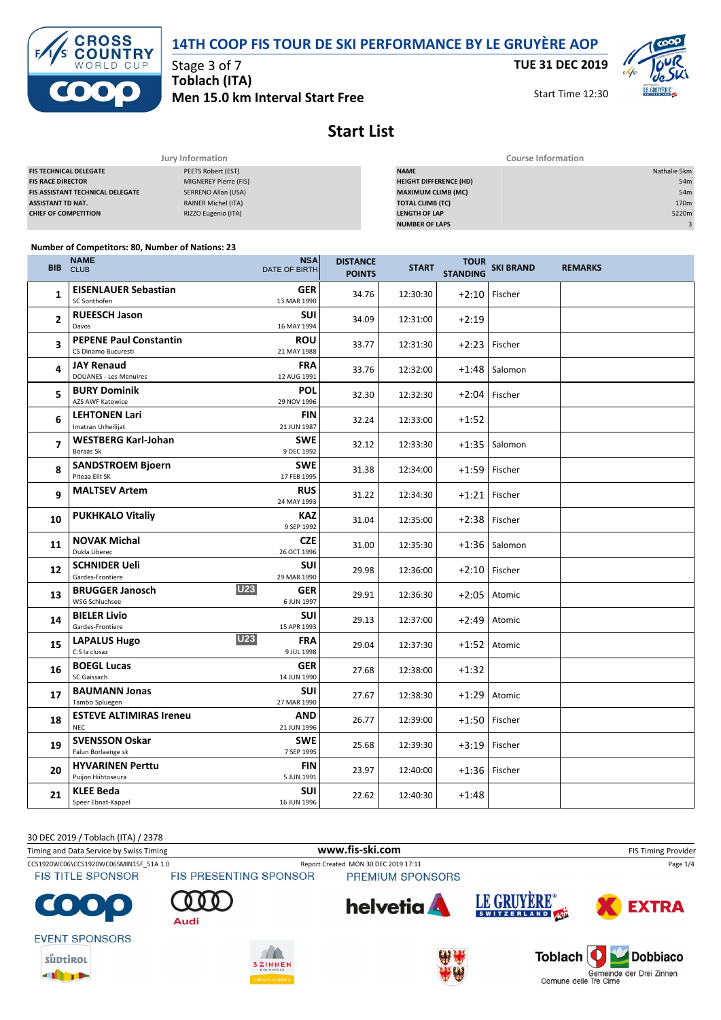



Stage 3 of 7 **Toblach (ITA) Men 15.0 km Interval Start Free** **TUE 31 DEC 2019**

Start Time 12:30



**Start List**

| Jury Information                        |                            | <b>Course Information</b>     |                  |  |  |
|-----------------------------------------|----------------------------|-------------------------------|------------------|--|--|
| <b>FIS TECHNICAL DELEGATE</b>           | PEETS Robert (EST)         | <b>NAME</b>                   | Nathalie 5km     |  |  |
| <b>FIS RACE DIRECTOR</b>                | MIGNEREY Pierre (FIS)      | <b>HEIGHT DIFFERENCE (HD)</b> | 54 <sub>m</sub>  |  |  |
| <b>FIS ASSISTANT TECHNICAL DELEGATE</b> | SERRENO Allan (USA)        | <b>MAXIMUM CLIMB (MC)</b>     | 54m              |  |  |
| <b>ASSISTANT TD NAT.</b>                | <b>RAINER Michel (ITA)</b> | <b>TOTAL CLIMB (TC)</b>       | 170 <sub>m</sub> |  |  |
| <b>CHIEF OF COMPETITION</b>             | RIZZO Eugenio (ITA)        | <b>LENGTH OF LAP</b>          | 5220m            |  |  |
|                                         |                            | <b>NUMBER OF LAPS</b>         |                  |  |  |

#### **Number of Competitors: 80, Number of Nations: 23**

| <b>BIB</b>               | NAME<br><b>CLUB</b>                                  | <b>NSA</b><br>DATE OF BIRTH            | <b>DISTANCE</b><br><b>POINTS</b> | <b>START</b> | TOUR<br>STANDING SKI BRAND |                 | <b>REMARKS</b> |
|--------------------------|------------------------------------------------------|----------------------------------------|----------------------------------|--------------|----------------------------|-----------------|----------------|
| $\mathbf{1}$             | <b>EISENLAUER Sebastian</b><br>SC Sonthofen          | <b>GER</b><br>13 MAR 1990              | 34.76                            | 12:30:30     |                            | $+2:10$ Fischer |                |
| 2                        | <b>RUEESCH Jason</b><br>Davos                        | <b>SUI</b><br>16 MAY 1994              | 34.09                            | 12:31:00     | $+2:19$                    |                 |                |
| 3                        | <b>PEPENE Paul Constantin</b><br>CS Dinamo Bucuresti | ROU<br>21 MAY 1988                     | 33.77                            | 12:31:30     | $+2:23$                    | Fischer         |                |
| 4                        | <b>JAY Renaud</b><br><b>DOUANES - Les Menuires</b>   | <b>FRA</b><br>12 AUG 1991              | 33.76                            | 12:32:00     | $+1:48$                    | Salomon         |                |
| 5                        | <b>BURY Dominik</b><br>AZS AWF Katowice              | <b>POL</b><br>29 NOV 1996              | 32.30                            | 12:32:30     | $+2:04$                    | Fischer         |                |
| 6                        | <b>LEHTONEN Lari</b><br>Imatran Urheilijat           | <b>FIN</b><br>21 JUN 1987              | 32.24                            | 12:33:00     | $+1:52$                    |                 |                |
| $\overline{\phantom{a}}$ | <b>WESTBERG Karl-Johan</b><br>Boraas Sk              | <b>SWE</b><br>9 DEC 1992               | 32.12                            | 12:33:30     | $+1:35$                    | Salomon         |                |
| 8                        | <b>SANDSTROEM Bjoern</b><br>Piteaa Elit SK           | SWE<br>17 FEB 1995                     | 31.38                            | 12:34:00     | $+1:59$                    | Fischer         |                |
| 9                        | <b>MALTSEV Artem</b>                                 | <b>RUS</b><br>24 MAY 1993              | 31.22                            | 12:34:30     | $+1:21$                    | Fischer         |                |
| 10                       | <b>PUKHKALO Vitaliy</b>                              | <b>KAZ</b><br>9 SEP 1992               | 31.04                            | 12:35:00     | $+2:38$                    | Fischer         |                |
| 11                       | <b>NOVAK Michal</b><br>Dukla Liberec                 | <b>CZE</b><br>26 OCT 1996              | 31.00                            | 12:35:30     |                            | $+1:36$ Salomon |                |
| 12                       | <b>SCHNIDER Ueli</b><br>Gardes-Frontiere             | <b>SUI</b><br>29 MAR 1990              | 29.98                            | 12:36:00     | $+2:10$                    | Fischer         |                |
| 13                       | <b>BRUGGER Janosch</b><br>WSG Schluchsee             | <b>U23</b><br><b>GER</b><br>6 JUN 1997 | 29.91                            | 12:36:30     | $+2:05$                    | Atomic          |                |
| 14                       | <b>BIELER Livio</b><br>Gardes-Frontiere              | <b>SUI</b><br>15 APR 1993              | 29.13                            | 12:37:00     | $+2:49$                    | Atomic          |                |
| 15                       | <b>LAPALUS Hugo</b><br>C.S la clusaz                 | <b>U23</b><br><b>FRA</b><br>9 JUL 1998 | 29.04                            | 12:37:30     | $+1:52$                    | Atomic          |                |
| 16                       | <b>BOEGL Lucas</b><br>SC Gaissach                    | <b>GER</b><br>14 JUN 1990              | 27.68                            | 12:38:00     | $+1:32$                    |                 |                |
| 17                       | <b>BAUMANN Jonas</b><br>Tambo Spluegen               | <b>SUI</b><br>27 MAR 1990              | 27.67                            | 12:38:30     | $+1:29$                    | Atomic          |                |
| 18                       | <b>ESTEVE ALTIMIRAS Ireneu</b><br><b>NEC</b>         | AND<br>21 JUN 1996                     | 26.77                            | 12:39:00     | $+1:50$                    | Fischer         |                |
| 19                       | <b>SVENSSON Oskar</b><br>Falun Borlaenge sk          | SWE<br>7 SEP 1995                      | 25.68                            | 12:39:30     | $+3:19$                    | Fischer         |                |
| 20                       | <b>HYVARINEN Perttu</b><br>Puijon Hiihtoseura        | <b>FIN</b><br>5 JUN 1991               | 23.97                            | 12:40:00     | $+1:36$                    | Fischer         |                |
| 21                       | <b>KLEE Beda</b><br>Speer Ebnat-Kappel               | <b>SUI</b><br>16 JUN 1996              | 22.62                            | 12:40:30     | $+1:48$                    |                 |                |

30 DEC 2019 / Toblach (ITA) / 2378 Timing and Data Service by Swiss Timing **WWW.fis-Ski.com www.fis-ski.com** FIS Timing Provider CCS1920WC06\CCS1920WC06SMIN15F\_51A 1.0 Report Created MON 30 DEC 2019 17:11 Page 1/4<br>FIS TITLE SPONSOR FIS PRESENTING SPONSOR PREMIUM SPONSORS **FIS TITLE SPONSOR** LE GRUYÈRE® helvetia **EXTRA** Audi **EVENT SPONSORS** süptikol



**THEFT** 



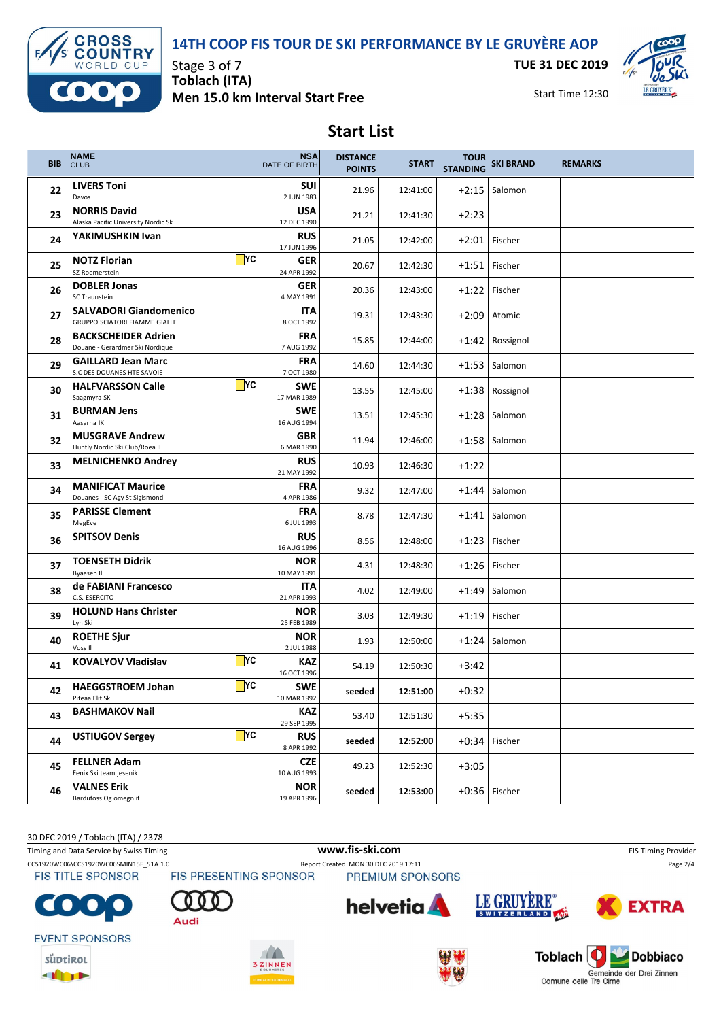#### **14TH COOP FIS TOUR DE SKI PERFORMANCE BY LE GRUYÈRE AOP**



**THEFT** 

Stage 3 of 7 **Toblach (ITA) Men 15.0 km Interval Start Free** **TUE 31 DEC 2019**



Start Time 12:30

## **Start List**

| <b>BIB</b> | <b>NAME</b><br><b>CLUB</b>                                     | <b>NSA</b><br>DATE OF BIRTH                    | <b>DISTANCE</b><br><b>POINTS</b> | <b>START</b> | <b>STANDING</b> | <b>TOUR SKI BRAND</b> | <b>REMARKS</b> |
|------------|----------------------------------------------------------------|------------------------------------------------|----------------------------------|--------------|-----------------|-----------------------|----------------|
| 22         | <b>LIVERS Toni</b><br>Davos                                    | <b>SUI</b><br>2 JUN 1983                       | 21.96                            | 12:41:00     |                 | $+2:15$ Salomon       |                |
| 23         | <b>NORRIS David</b><br>Alaska Pacific University Nordic Sk     | <b>USA</b><br>12 DEC 1990                      | 21.21                            | 12:41:30     | $+2:23$         |                       |                |
| 24         | YAKIMUSHKIN Ivan                                               | <b>RUS</b><br>17 JUN 1996                      | 21.05                            | 12:42:00     |                 | $+2:01$ Fischer       |                |
| 25         | <b>NOTZ Florian</b><br>SZ Roemerstein                          | $\mathsf{T}$ rc<br><b>GER</b><br>24 APR 1992   | 20.67                            | 12:42:30     |                 | $+1:51$ Fischer       |                |
| 26         | <b>DOBLER Jonas</b><br>SC Traunstein                           | <b>GER</b><br>4 MAY 1991                       | 20.36                            | 12:43:00     |                 | +1:22 Fischer         |                |
| 27         | <b>SALVADORI Giandomenico</b><br>GRUPPO SCIATORI FIAMME GIALLE | <b>ITA</b><br>8 OCT 1992                       | 19.31                            | 12:43:30     | $+2:09$         | Atomic                |                |
| 28         | <b>BACKSCHEIDER Adrien</b><br>Douane - Gerardmer Ski Nordique  | <b>FRA</b><br>7 AUG 1992                       | 15.85                            | 12:44:00     |                 | +1:42 Rossignol       |                |
| 29         | <b>GAILLARD Jean Marc</b><br>S.C DES DOUANES HTE SAVOIE        | <b>FRA</b><br>7 OCT 1980                       | 14.60                            | 12:44:30     | $+1:53$         | Salomon               |                |
| 30         | <b>HALFVARSSON Calle</b><br>Saagmyra SK                        | $\blacksquare$ YC<br><b>SWE</b><br>17 MAR 1989 | 13.55                            | 12:45:00     |                 | +1:38 Rossignol       |                |
| 31         | <b>BURMAN Jens</b><br>Aasarna IK                               | <b>SWE</b><br>16 AUG 1994                      | 13.51                            | 12:45:30     | $+1:28$         | Salomon               |                |
| 32         | <b>MUSGRAVE Andrew</b><br>Huntly Nordic Ski Club/Roea IL       | <b>GBR</b><br>6 MAR 1990                       | 11.94                            | 12:46:00     |                 | +1:58 Salomon         |                |
| 33         | <b>MELNICHENKO Andrey</b>                                      | <b>RUS</b><br>21 MAY 1992                      | 10.93                            | 12:46:30     | $+1:22$         |                       |                |
| 34         | <b>MANIFICAT Maurice</b><br>Douanes - SC Agy St Sigismond      | <b>FRA</b><br>4 APR 1986                       | 9.32                             | 12:47:00     |                 | $+1:44$ Salomon       |                |
| 35         | <b>PARISSE Clement</b><br>MegEve                               | <b>FRA</b><br>6 JUL 1993                       | 8.78                             | 12:47:30     |                 | $+1:41$ Salomon       |                |
| 36         | <b>SPITSOV Denis</b>                                           | <b>RUS</b><br>16 AUG 1996                      | 8.56                             | 12:48:00     | $+1:23$         | Fischer               |                |
| 37         | <b>TOENSETH Didrik</b><br>Byaasen II                           | <b>NOR</b><br>10 MAY 1991                      | 4.31                             | 12:48:30     | $+1:26$         | Fischer               |                |
| 38         | de FABIANI Francesco<br>C.S. ESERCITO                          | <b>ITA</b><br>21 APR 1993                      | 4.02                             | 12:49:00     | $+1:49$         | Salomon               |                |
| 39         | <b>HOLUND Hans Christer</b><br>Lyn Ski                         | <b>NOR</b><br>25 FEB 1989                      | 3.03                             | 12:49:30     | $+1:19$         | Fischer               |                |
| 40         | <b>ROETHE Sjur</b><br>Voss II                                  | <b>NOR</b><br>2 JUL 1988                       | 1.93                             | 12:50:00     |                 | $+1:24$ Salomon       |                |
| 41         | <b>KOVALYOV Vladislav</b>                                      | $\Box$ YC<br><b>KAZ</b><br>16 OCT 1996         | 54.19                            | 12:50:30     | $+3:42$         |                       |                |
| 42         | <b>HAEGGSTROEM Johan</b><br>Piteaa Elit Sk                     | $\Box$ YC<br><b>SWE</b><br>10 MAR 1992         | seeded                           | 12:51:00     | $+0:32$         |                       |                |
| 43         | <b>BASHMAKOV Nail</b>                                          | <b>KAZ</b><br>29 SEP 1995                      | 53.40                            | 12:51:30     | $+5:35$         |                       |                |
| 44         | <b>USTIUGOV Sergey</b>                                         | $\blacksquare$ YC<br><b>RUS</b><br>8 APR 1992  | seeded                           | 12:52:00     |                 | $+0.34$ Fischer       |                |
| 45         | <b>FELLNER Adam</b><br>Fenix Ski team jesenik                  | <b>CZE</b><br>10 AUG 1993                      | 49.23                            | 12:52:30     | $+3:05$         |                       |                |
| 46         | <b>VALNES Erik</b><br>Bardufoss Og omegn if                    | <b>NOR</b><br>19 APR 1996                      | seeded                           | 12:53:00     |                 | +0:36 Fischer         |                |

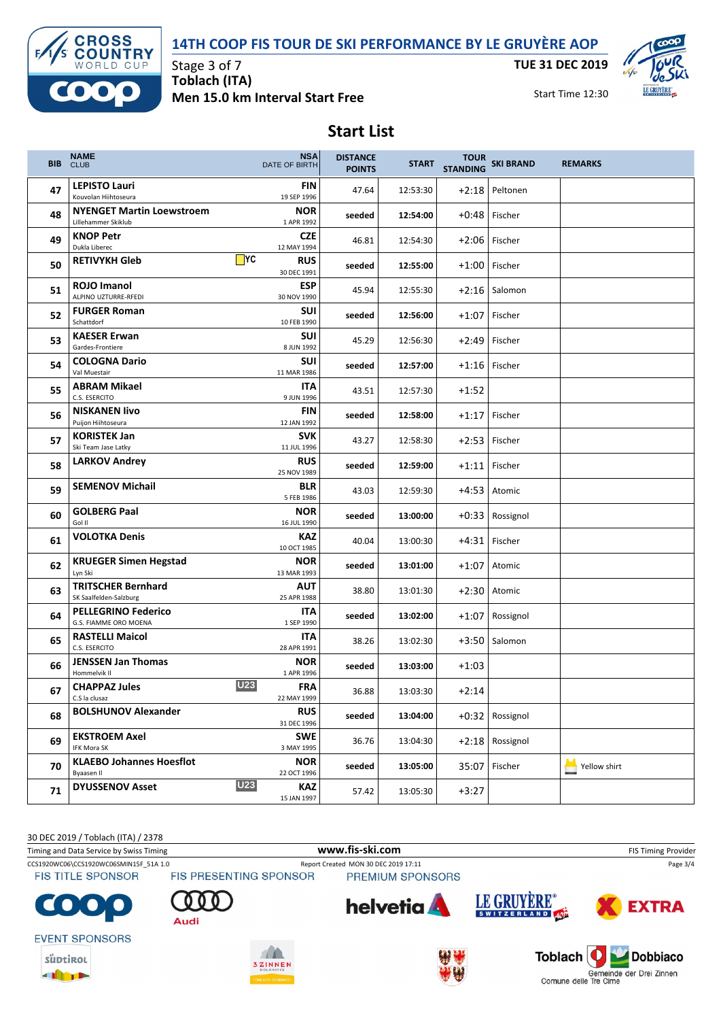### **14TH COOP FIS TOUR DE SKI PERFORMANCE BY LE GRUYÈRE AOP**



Stage 3 of 7 **Toblach (ITA) Men 15.0 km Interval Start Free** **TUE 31 DEC 2019**

Start Time 12:30



# **Start List**

| <b>BIB</b> | <b>NAME</b><br><b>CLUB</b>                              | <b>NSA</b><br>DATE OF BIRTH                    | <b>DISTANCE</b><br><b>POINTS</b> | <b>START</b> | <b>STANDING</b> | TOUR SKI BRAND  | <b>REMARKS</b> |
|------------|---------------------------------------------------------|------------------------------------------------|----------------------------------|--------------|-----------------|-----------------|----------------|
| 47         | <b>LEPISTO Lauri</b><br>Kouvolan Hiihtoseura            | <b>FIN</b><br>19 SEP 1996                      | 47.64                            | 12:53:30     | $+2:18$         | Peltonen        |                |
| 48         | <b>NYENGET Martin Loewstroem</b><br>Lillehammer Skiklub | <b>NOR</b><br>1 APR 1992                       | seeded                           | 12:54:00     | $+0:48$         | Fischer         |                |
| 49         | <b>KNOP Petr</b><br>Dukla Liberec                       | <b>CZE</b><br>12 MAY 1994                      | 46.81                            | 12:54:30     | $+2:06$         | Fischer         |                |
| 50         | <b>RETIVYKH Gleb</b>                                    | $\blacksquare$ YC<br><b>RUS</b><br>30 DEC 1991 | seeded                           | 12:55:00     | $+1:00$         | Fischer         |                |
| 51         | <b>ROJO Imanol</b><br>ALPINO UZTURRE-RFEDI              | <b>ESP</b><br>30 NOV 1990                      | 45.94                            | 12:55:30     |                 | $+2:16$ Salomon |                |
| 52         | <b>FURGER Roman</b><br>Schattdorf                       | SUI<br>10 FEB 1990                             | seeded                           | 12:56:00     | $+1:07$         | Fischer         |                |
| 53         | <b>KAESER Erwan</b><br>Gardes-Frontiere                 | SUI<br>8 JUN 1992                              | 45.29                            | 12:56:30     | $+2:49$         | Fischer         |                |
| 54         | <b>COLOGNA Dario</b><br>Val Muestair                    | <b>SUI</b><br>11 MAR 1986                      | seeded                           | 12:57:00     | +1:16           | Fischer         |                |
| 55         | <b>ABRAM Mikael</b><br>C.S. ESERCITO                    | <b>ITA</b><br>9 JUN 1996                       | 43.51                            | 12:57:30     | $+1:52$         |                 |                |
| 56         | <b>NISKANEN livo</b><br>Puijon Hiihtoseura              | <b>FIN</b><br>12 JAN 1992                      | seeded                           | 12:58:00     | $+1:17$         | Fischer         |                |
| 57         | <b>KORISTEK Jan</b><br>Ski Team Jase Latky              | <b>SVK</b><br>11 JUL 1996                      | 43.27                            | 12:58:30     | $+2:53$         | Fischer         |                |
| 58         | <b>LARKOV Andrey</b>                                    | <b>RUS</b><br>25 NOV 1989                      | seeded                           | 12:59:00     | $+1:11$         | Fischer         |                |
| 59         | <b>SEMENOV Michail</b>                                  | BLR<br>5 FEB 1986                              | 43.03                            | 12:59:30     | $+4:53$         | Atomic          |                |
| 60         | <b>GOLBERG Paal</b><br>Gol II                           | <b>NOR</b><br>16 JUL 1990                      | seeded                           | 13:00:00     | $+0:33$         | Rossignol       |                |
| 61         | <b>VOLOTKA Denis</b>                                    | KAZ<br>10 OCT 1985                             | 40.04                            | 13:00:30     | +4:31           | Fischer         |                |
| 62         | <b>KRUEGER Simen Hegstad</b><br>Lyn Ski                 | <b>NOR</b><br>13 MAR 1993                      | seeded                           | 13:01:00     | $+1:07$         | Atomic          |                |
| 63         | <b>TRITSCHER Bernhard</b><br>SK Saalfelden-Salzburg     | <b>AUT</b><br>25 APR 1988                      | 38.80                            | 13:01:30     | $+2:30$         | Atomic          |                |
| 64         | <b>PELLEGRINO Federico</b><br>G.S. FIAMME ORO MOENA     | <b>ITA</b><br>1 SEP 1990                       | seeded                           | 13:02:00     | +1:07           | Rossignol       |                |
| 65         | <b>RASTELLI Maicol</b><br>C.S. ESERCITO                 | <b>ITA</b><br>28 APR 1991                      | 38.26                            | 13:02:30     |                 | $+3:50$ Salomon |                |
| 66         | <b>JENSSEN Jan Thomas</b><br>Hommelvik II               | <b>NOR</b><br>1 APR 1996                       | seeded                           | 13:03:00     | $+1:03$         |                 |                |
| 67         | <b>CHAPPAZ Jules</b><br>C.S la clusaz                   | <b>U23</b><br><b>FRA</b><br>22 MAY 1999        | 36.88                            | 13:03:30     | $+2:14$         |                 |                |
| 68         | <b>BOLSHUNOV Alexander</b>                              | <b>RUS</b><br>31 DEC 1996                      | seeded                           | 13:04:00     |                 | +0:32 Rossignol |                |
| 69         | <b>EKSTROEM Axel</b><br>IFK Mora SK                     | <b>SWE</b><br>3 MAY 1995                       | 36.76                            | 13:04:30     |                 | +2:18 Rossignol |                |
| 70         | <b>KLAEBO Johannes Hoesflot</b><br>Byaasen Il           | <b>NOR</b><br>22 OCT 1996                      | seeded                           | 13:05:00     | 35:07           | Fischer         | Yellow shirt   |
| 71         | <b>DYUSSENOV Asset</b>                                  | <b>U23</b><br>KAZ<br>15 JAN 1997               | 57.42                            | 13:05:30     | $+3:27$         |                 |                |